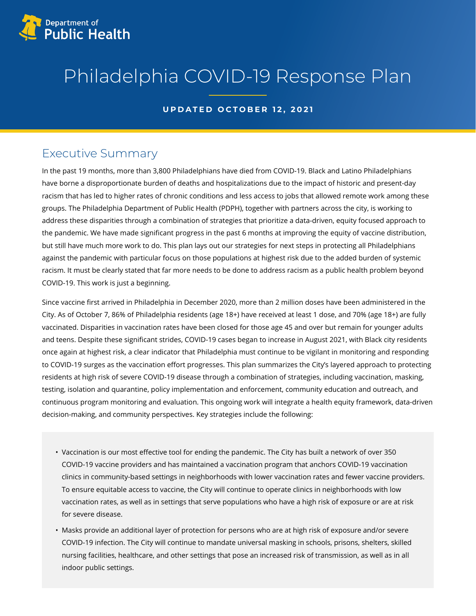

# Philadelphia COVID-19 Response Plan

#### **UPDATED OCTOBER 12, 2021**

## Executive Summary

In the past 19 months, more than 3,800 Philadelphians have died from COVID-19. Black and Latino Philadelphians have borne a disproportionate burden of deaths and hospitalizations due to the impact of historic and present-day racism that has led to higher rates of chronic conditions and less access to jobs that allowed remote work among these groups. The Philadelphia Department of Public Health (PDPH), together with partners across the city, is working to address these disparities through a combination of strategies that prioritize a data-driven, equity focused approach to the pandemic. We have made significant progress in the past 6 months at improving the equity of vaccine distribution, but still have much more work to do. This plan lays out our strategies for next steps in protecting all Philadelphians against the pandemic with particular focus on those populations at highest risk due to the added burden of systemic racism. It must be clearly stated that far more needs to be done to address racism as a public health problem beyond COVID-19. This work is just a beginning.

Since vaccine first arrived in Philadelphia in December 2020, more than 2 million doses have been administered in the City. As of October 7, 86% of Philadelphia residents (age 18+) have received at least 1 dose, and 70% (age 18+) are fully vaccinated. Disparities in vaccination rates have been closed for those age 45 and over but remain for younger adults and teens. Despite these significant strides, COVID-19 cases began to increase in August 2021, with Black city residents once again at highest risk, a clear indicator that Philadelphia must continue to be vigilant in monitoring and responding to COVID-19 surges as the vaccination effort progresses. This plan summarizes the City's layered approach to protecting residents at high risk of severe COVID-19 disease through a combination of strategies, including vaccination, masking, testing, isolation and quarantine, policy implementation and enforcement, community education and outreach, and continuous program monitoring and evaluation. This ongoing work will integrate a health equity framework, data-driven decision-making, and community perspectives. Key strategies include the following:

- Vaccination is our most effective tool for ending the pandemic. The City has built a network of over 350 COVID-19 vaccine providers and has maintained a vaccination program that anchors COVID-19 vaccination clinics in community-based settings in neighborhoods with lower vaccination rates and fewer vaccine providers. To ensure equitable access to vaccine, the City will continue to operate clinics in neighborhoods with low vaccination rates, as well as in settings that serve populations who have a high risk of exposure or are at risk for severe disease.
- Masks provide an additional layer of protection for persons who are at high risk of exposure and/or severe COVID-19 infection. The City will continue to mandate universal masking in schools, prisons, shelters, skilled nursing facilities, healthcare, and other settings that pose an increased risk of transmission, as well as in all indoor public settings.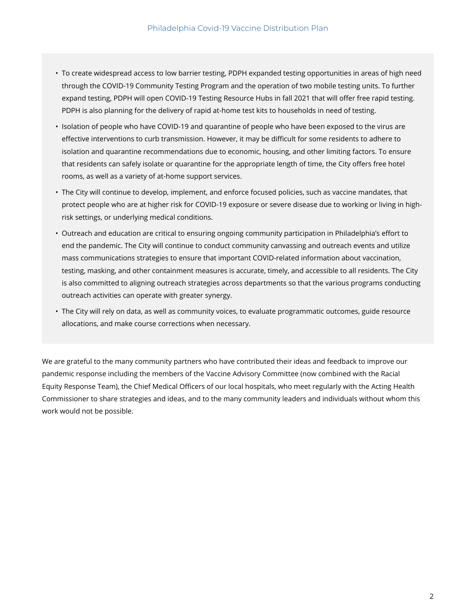- To create widespread access to low barrier testing, PDPH expanded testing opportunities in areas of high need through the COVID-19 Community Testing Program and the operation of two mobile testing units. To further expand testing, PDPH will open COVID-19 Testing Resource Hubs in fall 2021 that will offer free rapid testing. PDPH is also planning for the delivery of rapid at-home test kits to households in need of testing.
- Isolation of people who have COVID-19 and quarantine of people who have been exposed to the virus are effective interventions to curb transmission. However, it may be difficult for some residents to adhere to isolation and quarantine recommendations due to economic, housing, and other limiting factors. To ensure that residents can safely isolate or quarantine for the appropriate length of time, the City offers free hotel rooms, as well as a variety of at-home support services.
- The City will continue to develop, implement, and enforce focused policies, such as vaccine mandates, that protect people who are at higher risk for COVID-19 exposure or severe disease due to working or living in highrisk settings, or underlying medical conditions.
- Outreach and education are critical to ensuring ongoing community participation in Philadelphia's effort to end the pandemic. The City will continue to conduct community canvassing and outreach events and utilize mass communications strategies to ensure that important COVID-related information about vaccination, testing, masking, and other containment measures is accurate, timely, and accessible to all residents. The City is also committed to aligning outreach strategies across departments so that the various programs conducting outreach activities can operate with greater synergy.
- The City will rely on data, as well as community voices, to evaluate programmatic outcomes, guide resource allocations, and make course corrections when necessary.

We are grateful to the many community partners who have contributed their ideas and feedback to improve our pandemic response including the members of the Vaccine Advisory Committee (now combined with the Racial Equity Response Team), the Chief Medical Officers of our local hospitals, who meet regularly with the Acting Health Commissioner to share strategies and ideas, and to the many community leaders and individuals without whom this work would not be possible.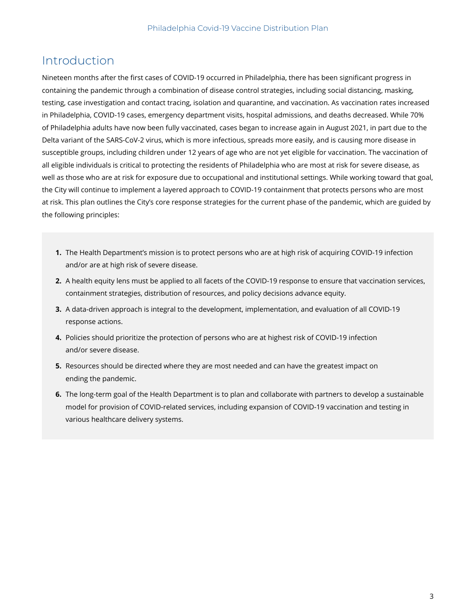### Introduction

Nineteen months after the first cases of COVID-19 occurred in Philadelphia, there has been significant progress in containing the pandemic through a combination of disease control strategies, including social distancing, masking, testing, case investigation and contact tracing, isolation and quarantine, and vaccination. As vaccination rates increased in Philadelphia, COVID-19 cases, emergency department visits, hospital admissions, and deaths decreased. While 70% of Philadelphia adults have now been fully vaccinated, cases began to increase again in August 2021, in part due to the Delta variant of the SARS-CoV-2 virus, which is more infectious, spreads more easily, and is causing more disease in susceptible groups, including children under 12 years of age who are not yet eligible for vaccination. The vaccination of all eligible individuals is critical to protecting the residents of Philadelphia who are most at risk for severe disease, as well as those who are at risk for exposure due to occupational and institutional settings. While working toward that goal, the City will continue to implement a layered approach to COVID-19 containment that protects persons who are most at risk. This plan outlines the City's core response strategies for the current phase of the pandemic, which are guided by the following principles:

- **1.** The Health Department's mission is to protect persons who are at high risk of acquiring COVID-19 infection and/or are at high risk of severe disease.
- **2.** A health equity lens must be applied to all facets of the COVID-19 response to ensure that vaccination services, containment strategies, distribution of resources, and policy decisions advance equity.
- **3.** A data-driven approach is integral to the development, implementation, and evaluation of all COVID-19 response actions.
- **4.** Policies should prioritize the protection of persons who are at highest risk of COVID-19 infection and/or severe disease.
- **5.** Resources should be directed where they are most needed and can have the greatest impact on ending the pandemic.
- **6.** The long-term goal of the Health Department is to plan and collaborate with partners to develop a sustainable model for provision of COVID-related services, including expansion of COVID-19 vaccination and testing in various healthcare delivery systems.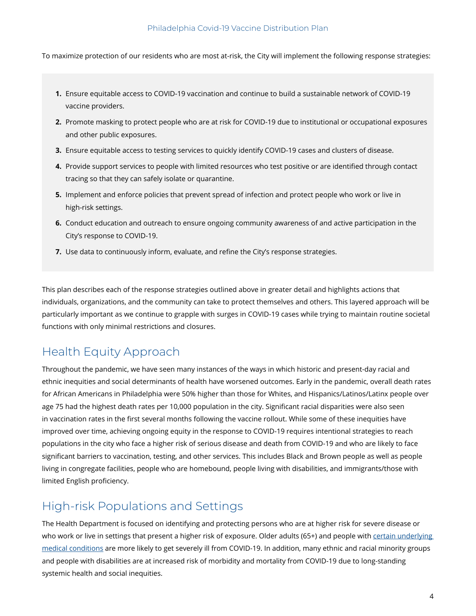To maximize protection of our residents who are most at-risk, the City will implement the following response strategies:

- **1.** Ensure equitable access to COVID-19 vaccination and continue to build a sustainable network of COVID-19 vaccine providers.
- **2.** Promote masking to protect people who are at risk for COVID-19 due to institutional or occupational exposures and other public exposures.
- **3.** Ensure equitable access to testing services to quickly identify COVID-19 cases and clusters of disease.
- **4.** Provide support services to people with limited resources who test positive or are identified through contact tracing so that they can safely isolate or quarantine.
- **5.** Implement and enforce policies that prevent spread of infection and protect people who work or live in high-risk settings.
- **6.** Conduct education and outreach to ensure ongoing community awareness of and active participation in the City's response to COVID-19.
- **7.** Use data to continuously inform, evaluate, and refine the City's response strategies.

This plan describes each of the response strategies outlined above in greater detail and highlights actions that individuals, organizations, and the community can take to protect themselves and others. This layered approach will be particularly important as we continue to grapple with surges in COVID-19 cases while trying to maintain routine societal functions with only minimal restrictions and closures.

### Health Equity Approach

Throughout the pandemic, we have seen many instances of the ways in which historic and present-day racial and ethnic inequities and social determinants of health have worsened outcomes. Early in the pandemic, overall death rates for African Americans in Philadelphia were 50% higher than those for Whites, and Hispanics/Latinos/Latinx people over age 75 had the highest death rates per 10,000 population in the city. Significant racial disparities were also seen in vaccination rates in the first several months following the vaccine rollout. While some of these inequities have improved over time, achieving ongoing equity in the response to COVID-19 requires intentional strategies to reach populations in the city who face a higher risk of serious disease and death from COVID-19 and who are likely to face significant barriers to vaccination, testing, and other services. This includes Black and Brown people as well as people living in congregate facilities, people who are homebound, people living with disabilities, and immigrants/those with limited English proficiency.

### High-risk Populations and Settings

The Health Department is focused on identifying and protecting persons who are at higher risk for severe disease or who work or live in settings that present a higher risk of exposure. Older adults (65+) and people with [certain underlying](https://www.cdc.gov/coronavirus/2019-ncov/need-extra-precautions/people-with-medical-conditions.html) [medical conditions](https://www.cdc.gov/coronavirus/2019-ncov/need-extra-precautions/people-with-medical-conditions.html) are more likely to get severely ill from COVID-19. In addition, many ethnic and racial minority groups and people with disabilities are at increased risk of morbidity and mortality from COVID-19 due to long-standing systemic health and social inequities.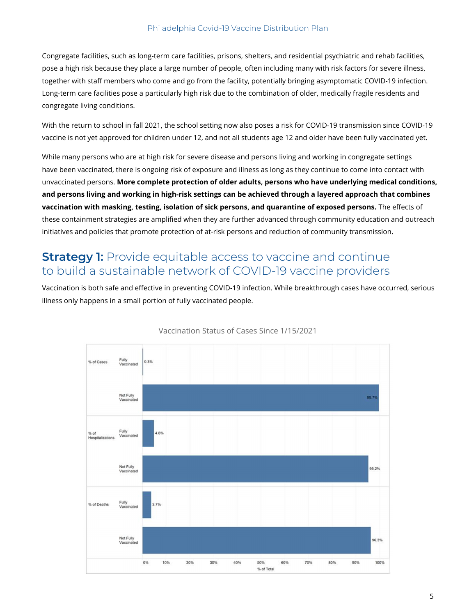Congregate facilities, such as long-term care facilities, prisons, shelters, and residential psychiatric and rehab facilities, pose a high risk because they place a large number of people, often including many with risk factors for severe illness, together with staff members who come and go from the facility, potentially bringing asymptomatic COVID-19 infection. Long-term care facilities pose a particularly high risk due to the combination of older, medically fragile residents and congregate living conditions.

With the return to school in fall 2021, the school setting now also poses a risk for COVID-19 transmission since COVID-19 vaccine is not yet approved for children under 12, and not all students age 12 and older have been fully vaccinated yet.

While many persons who are at high risk for severe disease and persons living and working in congregate settings have been vaccinated, there is ongoing risk of exposure and illness as long as they continue to come into contact with unvaccinated persons. **More complete protection of older adults, persons who have underlying medical conditions, and persons living and working in high-risk settings can be achieved through a layered approach that combines vaccination with masking, testing, isolation of sick persons, and quarantine of exposed persons.** The effects of these containment strategies are amplified when they are further advanced through community education and outreach initiatives and policies that promote protection of at-risk persons and reduction of community transmission.

### **Strategy 1:** Provide equitable access to vaccine and continue to build a sustainable network of COVID-19 vaccine providers

Vaccination is both safe and effective in preventing COVID-19 infection. While breakthrough cases have occurred, serious illness only happens in a small portion of fully vaccinated people.



#### Vaccination Status of Cases Since 1/15/2021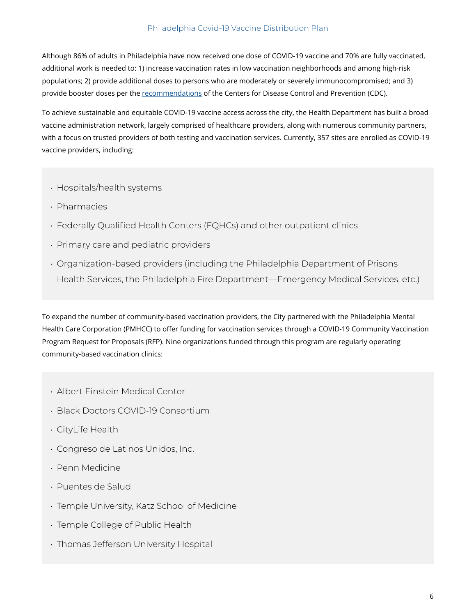Although 86% of adults in Philadelphia have now received one dose of COVID-19 vaccine and 70% are fully vaccinated, additional work is needed to: 1) increase vaccination rates in low vaccination neighborhoods and among high-risk populations; 2) provide additional doses to persons who are moderately or severely immunocompromised; and 3) provide booster doses per the [recommendations](https://www.cdc.gov/coronavirus/2019-ncov/vaccines/booster-shot.html) of the Centers for Disease Control and Prevention (CDC).

To achieve sustainable and equitable COVID-19 vaccine access across the city, the Health Department has built a broad vaccine administration network, largely comprised of healthcare providers, along with numerous community partners, with a focus on trusted providers of both testing and vaccination services. Currently, 357 sites are enrolled as COVID-19 vaccine providers, including:

- Hospitals/health systems
- Pharmacies
- Federally Qualified Health Centers (FQHCs) and other outpatient clinics
- Primary care and pediatric providers
- Organization-based providers (including the Philadelphia Department of Prisons Health Services, the Philadelphia Fire Department—Emergency Medical Services, etc.)

To expand the number of community-based vaccination providers, the City partnered with the Philadelphia Mental Health Care Corporation (PMHCC) to offer funding for vaccination services through a COVID-19 Community Vaccination Program Request for Proposals (RFP). Nine organizations funded through this program are regularly operating community-based vaccination clinics:

- Albert Einstein Medical Center
- Black Doctors COVID-19 Consortium
- CityLife Health
- Congreso de Latinos Unidos, Inc.
- Penn Medicine
- Puentes de Salud
- Temple University, Katz School of Medicine
- Temple College of Public Health
- Thomas Jefferson University Hospital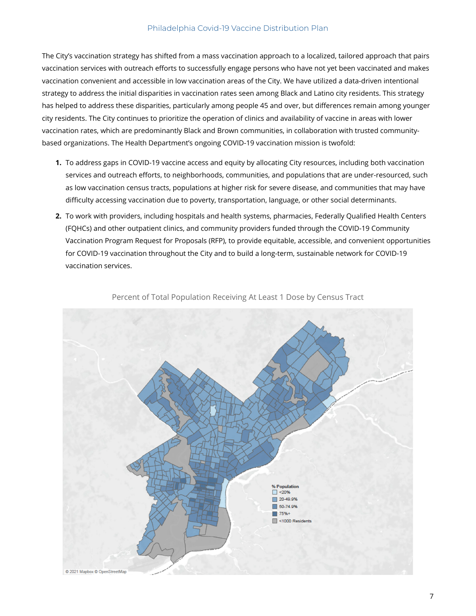The City's vaccination strategy has shifted from a mass vaccination approach to a localized, tailored approach that pairs vaccination services with outreach efforts to successfully engage persons who have not yet been vaccinated and makes vaccination convenient and accessible in low vaccination areas of the City. We have utilized a data-driven intentional strategy to address the initial disparities in vaccination rates seen among Black and Latino city residents. This strategy has helped to address these disparities, particularly among people 45 and over, but differences remain among younger city residents. The City continues to prioritize the operation of clinics and availability of vaccine in areas with lower vaccination rates, which are predominantly Black and Brown communities, in collaboration with trusted communitybased organizations. The Health Department's ongoing COVID-19 vaccination mission is twofold:

- **1.** To address gaps in COVID-19 vaccine access and equity by allocating City resources, including both vaccination services and outreach efforts, to neighborhoods, communities, and populations that are under-resourced, such as low vaccination census tracts, populations at higher risk for severe disease, and communities that may have difficulty accessing vaccination due to poverty, transportation, language, or other social determinants.
- **2.** To work with providers, including hospitals and health systems, pharmacies, Federally Qualified Health Centers (FQHCs) and other outpatient clinics, and community providers funded through the COVID-19 Community Vaccination Program Request for Proposals (RFP), to provide equitable, accessible, and convenient opportunities for COVID-19 vaccination throughout the City and to build a long-term, sustainable network for COVID-19 vaccination services.



Percent of Total Population Receiving At Least 1 Dose by Census Tract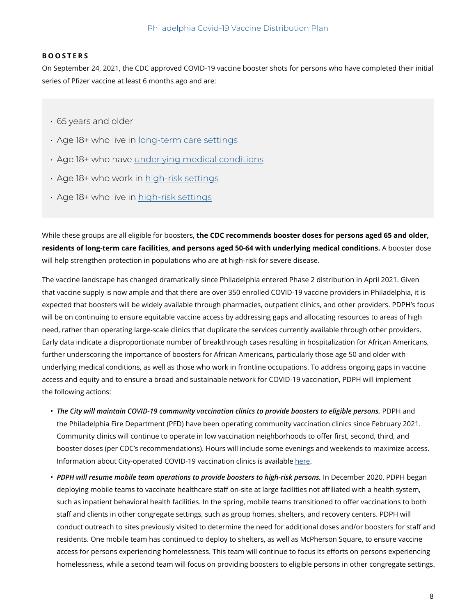#### **BOOSTERS**

On September 24, 2021, the CDC approved COVID-19 vaccine booster shots for persons who have completed their initial series of Pfizer vaccine at least 6 months ago and are:

- 65 years and older
- Age 18+ who live in [long-term care settings](https://www.cdc.gov/coronavirus/2019-ncov/vaccines/booster-shot.html#long-term-care)
- Age 18+ who have [underlying medical conditions](https://www.cdc.gov/coronavirus/2019-ncov/need-extra-precautions/people-with-medical-conditions.html)
- Age 18+ who work in [high-risk settings](https://www.cdc.gov/coronavirus/2019-ncov/vaccines/booster-shot.html#HighRisk)
- Age 18+ who live in [high-risk settings](https://www.cdc.gov/coronavirus/2019-ncov/vaccines/booster-shot.html#HighRisk)

While these groups are all eligible for boosters, **the CDC recommends booster doses for persons aged 65 and older, residents of long-term care facilities, and persons aged 50-64 with underlying medical conditions.** A booster dose will help strengthen protection in populations who are at high-risk for severe disease.

The vaccine landscape has changed dramatically since Philadelphia entered Phase 2 distribution in April 2021. Given that vaccine supply is now ample and that there are over 350 enrolled COVID-19 vaccine providers in Philadelphia, it is expected that boosters will be widely available through pharmacies, outpatient clinics, and other providers. PDPH's focus will be on continuing to ensure equitable vaccine access by addressing gaps and allocating resources to areas of high need, rather than operating large-scale clinics that duplicate the services currently available through other providers. Early data indicate a disproportionate number of breakthrough cases resulting in hospitalization for African Americans, further underscoring the importance of boosters for African Americans, particularly those age 50 and older with underlying medical conditions, as well as those who work in frontline occupations. To address ongoing gaps in vaccine access and equity and to ensure a broad and sustainable network for COVID-19 vaccination, PDPH will implement the following actions:

- *The City will maintain COVID-19 community vaccination clinics to provide boosters to eligible persons.* PDPH and the Philadelphia Fire Department (PFD) have been operating community vaccination clinics since February 2021. Community clinics will continue to operate in low vaccination neighborhoods to offer first, second, third, and booster doses (per CDC's recommendations). Hours will include some evenings and weekends to maximize access. Information about City-operated COVID-19 vaccination clinics is available [here.](https://philadelphia.cdn.prod.prepmodapp.com/appointment/en/clinic/search)
- *PDPH will resume mobile team operations to provide boosters to high-risk persons.* In December 2020, PDPH began deploying mobile teams to vaccinate healthcare staff on-site at large facilities not affiliated with a health system, such as inpatient behavioral health facilities. In the spring, mobile teams transitioned to offer vaccinations to both staff and clients in other congregate settings, such as group homes, shelters, and recovery centers. PDPH will conduct outreach to sites previously visited to determine the need for additional doses and/or boosters for staff and residents. One mobile team has continued to deploy to shelters, as well as McPherson Square, to ensure vaccine access for persons experiencing homelessness. This team will continue to focus its efforts on persons experiencing homelessness, while a second team will focus on providing boosters to eligible persons in other congregate settings.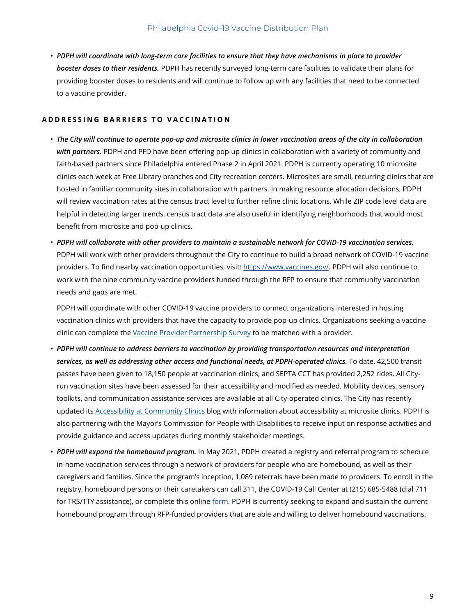• *PDPH will coordinate with long-term care facilities to ensure that they have mechanisms in place to provider booster doses to their residents.* PDPH has recently surveyed long-term care facilities to validate their plans for providing booster doses to residents and will continue to follow up with any facilities that need to be connected to a vaccine provider.

#### **ADDRESSING BARRIERS TO VACCINATION**

- *The City will continue to operate pop-up and microsite clinics in lower vaccination areas of the city in collaboration with partners.* PDPH and PFD have been offering pop-up clinics in collaboration with a variety of community and faith-based partners since Philadelphia entered Phase 2 in April 2021. PDPH is currently operating 10 microsite clinics each week at Free Library branches and City recreation centers. Microsites are small, recurring clinics that are hosted in familiar community sites in collaboration with partners. In making resource allocation decisions, PDPH will review vaccination rates at the census tract level to further refine clinic locations. While ZIP code level data are helpful in detecting larger trends, census tract data are also useful in identifying neighborhoods that would most benefit from microsite and pop-up clinics.
- *PDPH will collaborate with other providers to maintain a sustainable network for COVID-19 vaccination services.* PDPH will work with other providers throughout the City to continue to build a broad network of COVID-19 vaccine providers. To find nearby vaccination opportunities, visit: https://www.vaccines.gov/. PDPH will also continue to work with the nine community vaccine providers funded through the RFP to ensure that community vaccination needs and gaps are met.

 PDPH will coordinate with other COVID-19 vaccine providers to connect organizations interested in hosting vaccination clinics with providers that have the capacity to provide pop-up clinics. Organizations seeking a vaccine clinic can complete the [Vaccine Provider Partnership Survey](https://redcap.phila.gov/surveys/?s=LPXLP8RDN7) to be matched with a provider.

- *PDPH will continue to address barriers to vaccination by providing transportation resources and interpretation services, as well as addressing other access and functional needs, at PDPH-operated clinics.* To date, 42,500 transit passes have been given to 18,150 people at vaccination clinics, and SEPTA CCT has provided 2,252 rides. All Cityrun vaccination sites have been assessed for their accessibility and modified as needed. Mobility devices, sensory toolkits, and communication assistance services are available at all City-operated clinics. The City has recently updated its [Accessibility at Community Clinics](https://www.phila.gov/2021-05-01-accessibility-at-community-clinics-know-before-you-go/) blog with information about accessibility at microsite clinics. PDPH is also partnering with the Mayor's Commission for People with Disabilities to receive input on response activities and provide guidance and access updates during monthly stakeholder meetings.
- *PDPH will expand the homebound program.* In May 2021, PDPH created a registry and referral program to schedule in-home vaccination services through a network of providers for people who are homebound, as well as their caregivers and families. Since the program's inception, 1,089 referrals have been made to providers. To enroll in the registry, homebound persons or their caretakers can call 311, the COVID-19 Call Center at (215) 685-5488 (dial 711 for TRS/TTY assistance), or complete this online [form.](https://redcap.phila.gov/surveys/?s=WCAXTJ8H8P) PDPH is currently seeking to expand and sustain the current homebound program through RFP-funded providers that are able and willing to deliver homebound vaccinations.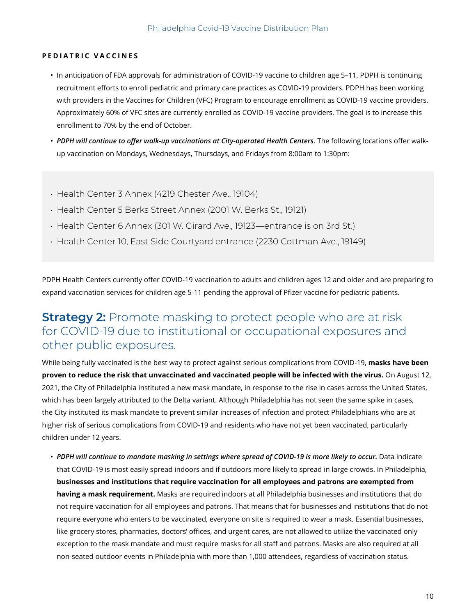#### **PEDIATRIC VACCINES**

- In anticipation of FDA approvals for administration of COVID-19 vaccine to children age 5–11, PDPH is continuing recruitment efforts to enroll pediatric and primary care practices as COVID-19 providers. PDPH has been working with providers in the Vaccines for Children (VFC) Program to encourage enrollment as COVID-19 vaccine providers. Approximately 60% of VFC sites are currently enrolled as COVID-19 vaccine providers. The goal is to increase this enrollment to 70% by the end of October.
- PDPH will continue to offer walk-up vaccinations at City-operated Health Centers. The following locations offer walkup vaccination on Mondays, Wednesdays, Thursdays, and Fridays from 8:00am to 1:30pm:
- Health Center 3 Annex (4219 Chester Ave., 19104)
- Health Center 5 Berks Street Annex (2001 W. Berks St., 19121)
- Health Center 6 Annex (301 W. Girard Ave., 19123—entrance is on 3rd St.)
- Health Center 10, East Side Courtyard entrance (2230 Cottman Ave., 19149)

PDPH Health Centers currently offer COVID-19 vaccination to adults and children ages 12 and older and are preparing to expand vaccination services for children age 5-11 pending the approval of Pfizer vaccine for pediatric patients.

### **Strategy 2:** Promote masking to protect people who are at risk for COVID-19 due to institutional or occupational exposures and other public exposures.

While being fully vaccinated is the best way to protect against serious complications from COVID-19, **masks have been proven to reduce the risk that unvaccinated and vaccinated people will be infected with the virus.** On August 12, 2021, the City of Philadelphia instituted a new mask mandate, in response to the rise in cases across the United States, which has been largely attributed to the Delta variant. Although Philadelphia has not seen the same spike in cases, the City instituted its mask mandate to prevent similar increases of infection and protect Philadelphians who are at higher risk of serious complications from COVID-19 and residents who have not yet been vaccinated, particularly children under 12 years.

• *PDPH will continue to mandate masking in settings where spread of COVID-19 is more likely to occur.* Data indicate that COVID-19 is most easily spread indoors and if outdoors more likely to spread in large crowds. In Philadelphia, **businesses and institutions that require vaccination for all employees and patrons are exempted from having a mask requirement.** Masks are required indoors at all Philadelphia businesses and institutions that do not require vaccination for all employees and patrons. That means that for businesses and institutions that do not require everyone who enters to be vaccinated, everyone on site is required to wear a mask. Essential businesses, like grocery stores, pharmacies, doctors' offices, and urgent cares, are not allowed to utilize the vaccinated only exception to the mask mandate and must require masks for all staff and patrons. Masks are also required at all non-seated outdoor events in Philadelphia with more than 1,000 attendees, regardless of vaccination status.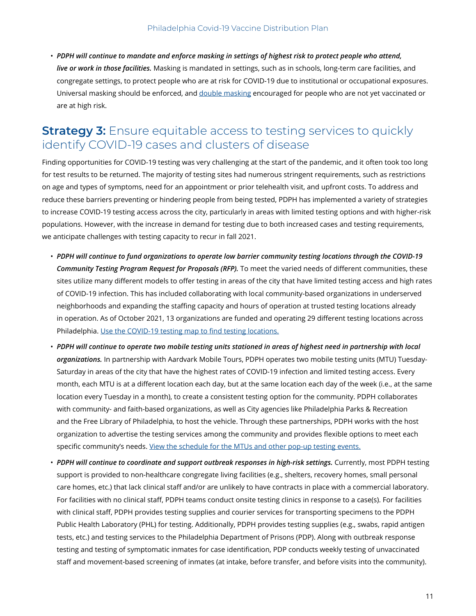• *PDPH will continue to mandate and enforce masking in settings of highest risk to protect people who attend, live or work in those facilities.* Masking is mandated in settings, such as in schools, long-term care facilities, and congregate settings, to protect people who are at risk for COVID-19 due to institutional or occupational exposures. Universal masking should be enforced, and [double masking](https://www.phila.gov/media/20210818103204/stillnotvaxemployees.pdf) encouraged for people who are not yet vaccinated or are at high risk.

### **Strategy 3:** Ensure equitable access to testing services to quickly identify COVID-19 cases and clusters of disease

Finding opportunities for COVID-19 testing was very challenging at the start of the pandemic, and it often took too long for test results to be returned. The majority of testing sites had numerous stringent requirements, such as restrictions on age and types of symptoms, need for an appointment or prior telehealth visit, and upfront costs. To address and reduce these barriers preventing or hindering people from being tested, PDPH has implemented a variety of strategies to increase COVID-19 testing access across the city, particularly in areas with limited testing options and with higher-risk populations. However, with the increase in demand for testing due to both increased cases and testing requirements, we anticipate challenges with testing capacity to recur in fall 2021.

- *PDPH will continue to fund organizations to operate low barrier community testing locations through the COVID-19 Community Testing Program Request for Proposals (RFP).* To meet the varied needs of different communities, these sites utilize many different models to offer testing in areas of the city that have limited testing access and high rates of COVID-19 infection. This has included collaborating with local community-based organizations in underserved neighborhoods and expanding the staffing capacity and hours of operation at trusted testing locations already in operation. As of October 2021, 13 organizations are funded and operating 29 different testing locations across Philadelphia. [Use the COVID-19 testing map to find testing locations.](www.phila.gov/testing)
- *PDPH will continue to operate two mobile testing units stationed in areas of highest need in partnership with local organizations.* In partnership with Aardvark Mobile Tours, PDPH operates two mobile testing units (MTU) Tuesday-Saturday in areas of the city that have the highest rates of COVID-19 infection and limited testing access. Every month, each MTU is at a different location each day, but at the same location each day of the week (i.e., at the same location every Tuesday in a month), to create a consistent testing option for the community. PDPH collaborates with community- and faith-based organizations, as well as City agencies like Philadelphia Parks & Recreation and the Free Library of Philadelphia, to host the vehicle. Through these partnerships, PDPH works with the host organization to advertise the testing services among the community and provides flexible options to meet each specific community's needs. [View the schedule for the MTUs and other pop-up testing events.](https://www.phila.gov/the-latest/all-events/?category=Mobile%20testing%20sites%20for%20COVID-19)
- *PDPH will continue to coordinate and support outbreak responses in high-risk settings.* Currently, most PDPH testing support is provided to non-healthcare congregate living facilities (e.g., shelters, recovery homes, small personal care homes, etc.) that lack clinical staff and/or are unlikely to have contracts in place with a commercial laboratory. For facilities with no clinical staff, PDPH teams conduct onsite testing clinics in response to a case(s). For facilities with clinical staff, PDPH provides testing supplies and courier services for transporting specimens to the PDPH Public Health Laboratory (PHL) for testing. Additionally, PDPH provides testing supplies (e.g., swabs, rapid antigen tests, etc.) and testing services to the Philadelphia Department of Prisons (PDP). Along with outbreak response testing and testing of symptomatic inmates for case identification, PDP conducts weekly testing of unvaccinated staff and movement-based screening of inmates (at intake, before transfer, and before visits into the community).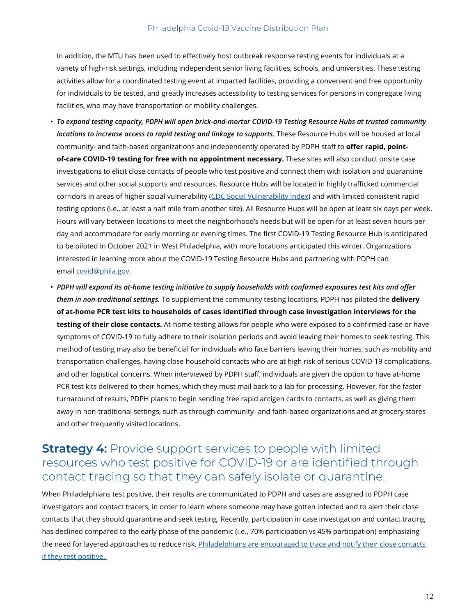In addition, the MTU has been used to effectively host outbreak response testing events for individuals at a variety of high-risk settings, including independent senior living facilities, schools, and universities. These testing activities allow for a coordinated testing event at impacted facilities, providing a convenient and free opportunity for individuals to be tested, and greatly increases accessibility to testing services for persons in congregate living facilities, who may have transportation or mobility challenges.

- *To expand testing capacity, PDPH will open brick-and-mortar COVID-19 Testing Resource Hubs at trusted community locations to increase access to rapid testing and linkage to supports.* These Resource Hubs will be housed at local community- and faith-based organizations and independently operated by PDPH staff to **offer rapid, pointof-care COVID-19 testing for free with no appointment necessary.** These sites will also conduct onsite case investigations to elicit close contacts of people who test positive and connect them with isolation and quarantine services and other social supports and resources. Resource Hubs will be located in highly trafficked commercial corridors in areas of higher social vulnerability ([CDC Social Vulnerability Index\)](https://www.atsdr.cdc.gov/placeandhealth/svi/fact_sheet/fact_sheet.html) and with limited consistent rapid testing options (i.e., at least a half mile from another site). All Resource Hubs will be open at least six days per week. Hours will vary between locations to meet the neighborhood's needs but will be open for at least seven hours per day and accommodate for early morning or evening times. The first COVID-19 Testing Resource Hub is anticipated to be piloted in October 2021 in West Philadelphia, with more locations anticipated this winter. Organizations interested in learning more about the COVID-19 Testing Resource Hubs and partnering with PDPH can email covid@phila.gov.
- *PDPH will expand its at-home testing initiative to supply households with confirmed exposures test kits and offer them in non-traditional settings.* To supplement the community testing locations, PDPH has piloted the **delivery of at-home PCR test kits to households of cases identified through case investigation interviews for the testing of their close contacts.** At-home testing allows for people who were exposed to a confirmed case or have symptoms of COVID-19 to fully adhere to their isolation periods and avoid leaving their homes to seek testing. This method of testing may also be beneficial for individuals who face barriers leaving their homes, such as mobility and transportation challenges, having close household contacts who are at high risk of serious COVID-19 complications, and other logistical concerns. When interviewed by PDPH staff, individuals are given the option to have at-home PCR test kits delivered to their homes, which they must mail back to a lab for processing. However, for the faster turnaround of results, PDPH plans to begin sending free rapid antigen cards to contacts, as well as giving them away in non-traditional settings, such as through community- and faith-based organizations and at grocery stores and other frequently visited locations.

### **Strategy 4:** Provide support services to people with limited resources who test positive for COVID-19 or are identified through contact tracing so that they can safely isolate or quarantine.

When Philadelphians test positive, their results are communicated to PDPH and cases are assigned to PDPH case investigators and contact tracers, in order to learn where someone may have gotten infected and to alert their close contacts that they should quarantine and seek testing. Recently, participation in case investigation and contact tracing has declined compared to the early phase of the pandemic (i.e., 70% participation vs 45% participation) emphasizing the need for layered approaches to reduce risk. Philadelphians are encouraged to trace and notify their close contacts if they test positive.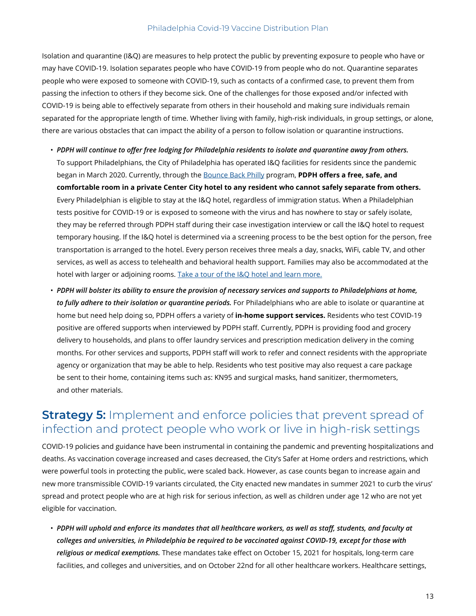Isolation and quarantine (I&Q) are measures to help protect the public by preventing exposure to people who have or may have COVID-19. Isolation separates people who have COVID-19 from people who do not. Quarantine separates people who were exposed to someone with COVID-19, such as contacts of a confirmed case, to prevent them from passing the infection to others if they become sick. One of the challenges for those exposed and/or infected with COVID-19 is being able to effectively separate from others in their household and making sure individuals remain separated for the appropriate length of time. Whether living with family, high-risk individuals, in group settings, or alone, there are various obstacles that can impact the ability of a person to follow isolation or quarantine instructions.

- *PDPH will continue to offer free lodging for Philadelphia residents to isolate and quarantine away from others.* To support Philadelphians, the City of Philadelphia has operated I&Q facilities for residents since the pandemic began in March 2020. Currently, through the [Bounce Back Philly](https://www.phila.gov/2021-06-15-bounce-back-philly-offers-a-free-safe-place-for-covid-19-isolation-and-quarantine/) program, **PDPH offers a free, safe, and comfortable room in a private Center City hotel to any resident who cannot safely separate from others.** Every Philadelphian is eligible to stay at the I&Q hotel, regardless of immigration status. When a Philadelphian tests positive for COVID-19 or is exposed to someone with the virus and has nowhere to stay or safely isolate, they may be referred through PDPH staff during their case investigation interview or call the I&Q hotel to request temporary housing. If the I&Q hotel is determined via a screening process to be the best option for the person, free transportation is arranged to the hotel. Every person receives three meals a day, snacks, WiFi, cable TV, and other services, as well as access to telehealth and behavioral health support. Families may also be accommodated at the hotel with larger or adjoining rooms. [Take a tour of the I&Q hotel and learn more.](https://www.youtube.com/watch?v=NReYvTrj6DA)
- *PDPH will bolster its ability to ensure the provision of necessary services and supports to Philadelphians at home, to fully adhere to their isolation or quarantine periods.* For Philadelphians who are able to isolate or quarantine at home but need help doing so, PDPH offers a variety of **in-home support services.** Residents who test COVID-19 positive are offered supports when interviewed by PDPH staff. Currently, PDPH is providing food and grocery delivery to households, and plans to offer laundry services and prescription medication delivery in the coming months. For other services and supports, PDPH staff will work to refer and connect residents with the appropriate agency or organization that may be able to help. Residents who test positive may also request a care package be sent to their home, containing items such as: KN95 and surgical masks, hand sanitizer, thermometers, and other materials.

### **Strategy 5:** Implement and enforce policies that prevent spread of infection and protect people who work or live in high-risk settings

COVID-19 policies and guidance have been instrumental in containing the pandemic and preventing hospitalizations and deaths. As vaccination coverage increased and cases decreased, the City's Safer at Home orders and restrictions, which were powerful tools in protecting the public, were scaled back. However, as case counts began to increase again and new more transmissible COVID-19 variants circulated, the City enacted new mandates in summer 2021 to curb the virus' spread and protect people who are at high risk for serious infection, as well as children under age 12 who are not yet eligible for vaccination.

• *PDPH will uphold and enforce its mandates that all healthcare workers, as well as staff, students, and faculty at colleges and universities, in Philadelphia be required to be vaccinated against COVID-19, except for those with religious or medical exemptions.* These mandates take effect on October 15, 2021 for hospitals, long-term care facilities, and colleges and universities, and on October 22nd for all other healthcare workers. Healthcare settings,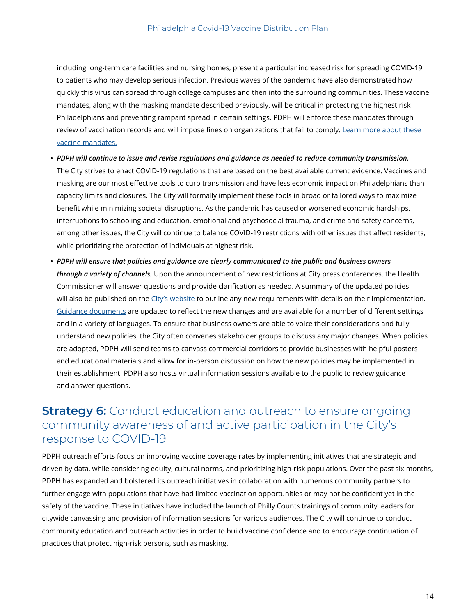including long-term care facilities and nursing homes, present a particular increased risk for spreading COVID-19 to patients who may develop serious infection. Previous waves of the pandemic have also demonstrated how quickly this virus can spread through college campuses and then into the surrounding communities. These vaccine mandates, along with the masking mandate described previously, will be critical in protecting the highest risk Philadelphians and preventing rampant spread in certain settings. PDPH will enforce these mandates through review of vaccination records and will impose fines on organizations that fail to comply. [Learn more about these](https://www.phila.gov/2021-08-13-covid-vaccines-mandated-for-healthcare-workers-and-those-at-philly-colleges-and-university/)  [vaccine mandates.](https://www.phila.gov/2021-08-13-covid-vaccines-mandated-for-healthcare-workers-and-those-at-philly-colleges-and-university/)

- *PDPH will continue to issue and revise regulations and guidance as needed to reduce community transmission.*  The City strives to enact COVID-19 regulations that are based on the best available current evidence. Vaccines and masking are our most effective tools to curb transmission and have less economic impact on Philadelphians than capacity limits and closures. The City will formally implement these tools in broad or tailored ways to maximize benefit while minimizing societal disruptions. As the pandemic has caused or worsened economic hardships, interruptions to schooling and education, emotional and psychosocial trauma, and crime and safety concerns, among other issues, the City will continue to balance COVID-19 restrictions with other issues that affect residents, while prioritizing the protection of individuals at highest risk.
- *PDPH will ensure that policies and guidance are clearly communicated to the public and business owners through a variety of channels.* Upon the announcement of new restrictions at City press conferences, the Health Commissioner will answer questions and provide clarification as needed. A summary of the updated policies will also be published on the [City's website](https://www.phila.gov/the-latest/archives/#/?templates=post&department=Public%20Health) to outline any new requirements with details on their implementation. [Guidance documents](https://www.phila.gov/programs/coronavirus-disease-2019-covid-19/guidance/guidance-documents/) are updated to reflect the new changes and are available for a number of different settings and in a variety of languages. To ensure that business owners are able to voice their considerations and fully understand new policies, the City often convenes stakeholder groups to discuss any major changes. When policies are adopted, PDPH will send teams to canvass commercial corridors to provide businesses with helpful posters and educational materials and allow for in-person discussion on how the new policies may be implemented in their establishment. PDPH also hosts virtual information sessions available to the public to review guidance and answer questions.

### **Strategy 6:** Conduct education and outreach to ensure ongoing community awareness of and active participation in the City's response to COVID-19

PDPH outreach efforts focus on improving vaccine coverage rates by implementing initiatives that are strategic and driven by data, while considering equity, cultural norms, and prioritizing high-risk populations. Over the past six months, PDPH has expanded and bolstered its outreach initiatives in collaboration with numerous community partners to further engage with populations that have had limited vaccination opportunities or may not be confident yet in the safety of the vaccine. These initiatives have included the launch of Philly Counts trainings of community leaders for citywide canvassing and provision of information sessions for various audiences. The City will continue to conduct community education and outreach activities in order to build vaccine confidence and to encourage continuation of practices that protect high-risk persons, such as masking.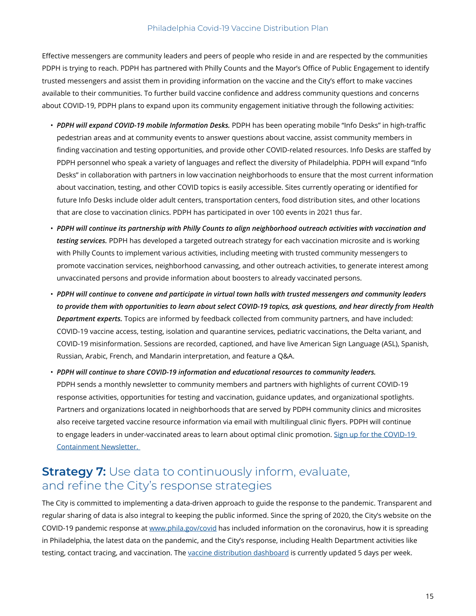Effective messengers are community leaders and peers of people who reside in and are respected by the communities PDPH is trying to reach. PDPH has partnered with Philly Counts and the Mayor's Office of Public Engagement to identify trusted messengers and assist them in providing information on the vaccine and the City's effort to make vaccines available to their communities. To further build vaccine confidence and address community questions and concerns about COVID-19, PDPH plans to expand upon its community engagement initiative through the following activities:

- *PDPH will expand COVID-19 mobile Information Desks.* PDPH has been operating mobile "Info Desks" in high-traffic pedestrian areas and at community events to answer questions about vaccine, assist community members in finding vaccination and testing opportunities, and provide other COVID-related resources. Info Desks are staffed by PDPH personnel who speak a variety of languages and reflect the diversity of Philadelphia. PDPH will expand "Info Desks" in collaboration with partners in low vaccination neighborhoods to ensure that the most current information about vaccination, testing, and other COVID topics is easily accessible. Sites currently operating or identified for future Info Desks include older adult centers, transportation centers, food distribution sites, and other locations that are close to vaccination clinics. PDPH has participated in over 100 events in 2021 thus far.
- *PDPH will continue its partnership with Philly Counts to align neighborhood outreach activities with vaccination and testing services.* PDPH has developed a targeted outreach strategy for each vaccination microsite and is working with Philly Counts to implement various activities, including meeting with trusted community messengers to promote vaccination services, neighborhood canvassing, and other outreach activities, to generate interest among unvaccinated persons and provide information about boosters to already vaccinated persons.
- *PDPH will continue to convene and participate in virtual town halls with trusted messengers and community leaders to provide them with opportunities to learn about select COVID-19 topics, ask questions, and hear directly from Health Department experts.* Topics are informed by feedback collected from community partners, and have included: COVID-19 vaccine access, testing, isolation and quarantine services, pediatric vaccinations, the Delta variant, and COVID-19 misinformation. Sessions are recorded, captioned, and have live American Sign Language (ASL), Spanish, Russian, Arabic, French, and Mandarin interpretation, and feature a Q&A.

• *PDPH will continue to share COVID-19 information and educational resources to community leaders.* PDPH sends a monthly newsletter to community members and partners with highlights of current COVID-19 response activities, opportunities for testing and vaccination, guidance updates, and organizational spotlights. Partners and organizations located in neighborhoods that are served by PDPH community clinics and microsites also receive targeted vaccine resource information via email with multilingual clinic flyers. PDPH will continue to engage leaders in under-vaccinated areas to learn about optimal clinic promotion. [Sign up for the COVID-19](https://cdn.forms-content.sg-form.com/f4e592e3-a75d-11eb-95e2-669372b35f9a)  [Containment Newsletter.](https://cdn.forms-content.sg-form.com/f4e592e3-a75d-11eb-95e2-669372b35f9a)

### **Strategy 7:** Use data to continuously inform, evaluate, and refine the City's response strategies

The City is committed to implementing a data-driven approach to guide the response to the pandemic. Transparent and regular sharing of data is also integral to keeping the public informed. Since the spring of 2020, the City's website on the COVID-19 pandemic response at www.phila.gov/covid has included information on the coronavirus, how it is spreading in Philadelphia, the latest data on the pandemic, and the City's response, including Health Department activities like testing, contact tracing, and vaccination. The [vaccine distribution dashboard](https://www.phila.gov/programs/coronavirus-disease-2019-covid-19/data/vaccine/) is currently updated 5 days per week.